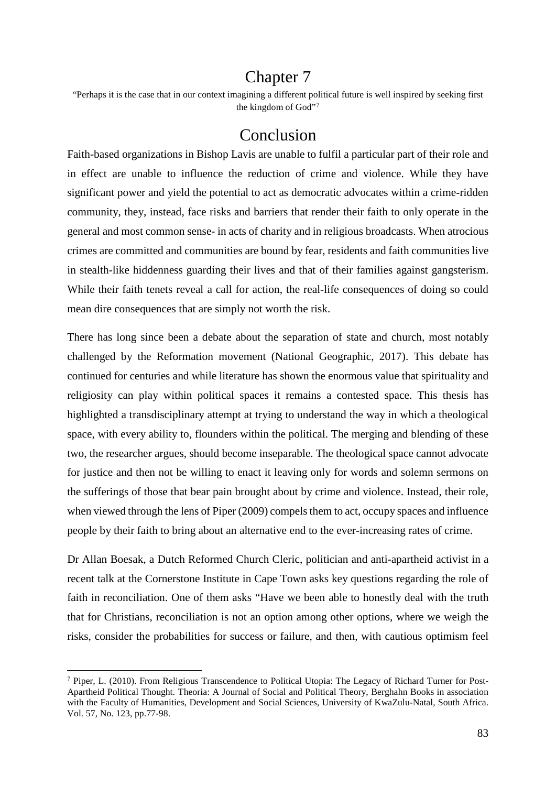## Chapter 7

the kingdom of God"[7](#page-82-0) "Perhaps it is the case that in our context imagining a different political future is well inspired by seeking first

## Conclusion

 Faith-based organizations in Bishop Lavis are unable to fulfil a particular part of their role and in effect are unable to influence the reduction of crime and violence. While they have significant power and yield the potential to act as democratic advocates within a crime-ridden community, they, instead, face risks and barriers that render their faith to only operate in the general and most common sense- in acts of charity and in religious broadcasts. When atrocious crimes are committed and communities are bound by fear, residents and faith communities live in stealth-like hiddenness guarding their lives and that of their families against gangsterism. While their faith tenets reveal a call for action, the real-life consequences of doing so could mean dire consequences that are simply not worth the risk.

There has long since been a debate about the separation of state and church, most notably challenged by the Reformation movement (National Geographic, 2017). This debate has continued for centuries and while literature has shown the enormous value that spirituality and religiosity can play within political spaces it remains a contested space. This thesis has highlighted a transdisciplinary attempt at trying to understand the way in which a theological space, with every ability to, flounders within the political. The merging and blending of these two, the researcher argues, should become inseparable. The theological space cannot advocate for justice and then not be willing to enact it leaving only for words and solemn sermons on the sufferings of those that bear pain brought about by crime and violence. Instead, their role, when viewed through the lens of Piper (2009) compels them to act, occupy spaces and influence people by their faith to bring about an alternative end to the ever-increasing rates of crime.

Dr Allan Boesak, a Dutch Reformed Church Cleric, politician and anti-apartheid activist in a recent talk at the Cornerstone Institute in Cape Town asks key questions regarding the role of faith in reconciliation. One of them asks "Have we been able to honestly deal with the truth that for Christians, reconciliation is not an option among other options, where we weigh the risks, consider the probabilities for success or failure, and then, with cautious optimism feel

<u>.</u>

<span id="page-82-0"></span><sup>&</sup>lt;sup>7</sup> Piper, L. (2010). From Religious Transcendence to Political Utopia: The Legacy of Richard Turner for Post-Apartheid Political Thought. Theoria: A Journal of Social and Political Theory, Berghahn Books in association with the Faculty of Humanities, Development and Social Sciences, University of KwaZulu-Natal, South Africa. Vol. 57, No. 123, pp.77-98.